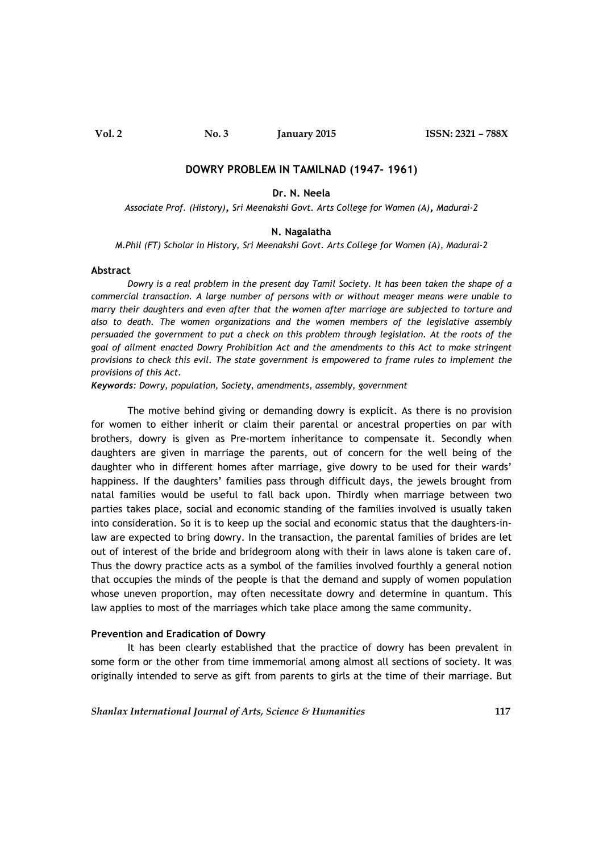**Vol. 2 No. 3 January 2015 ISSN: 2321 – 788X**

### **DOWRY PROBLEM IN TAMILNAD (1947- 1961)**

### **Dr. N. Neela**

*Associate Prof. (History)***,** *Sri Meenakshi Govt. Arts College for Women (A)***,** *Madurai-2*

#### **N. Nagalatha**

*M.Phil (FT) Scholar in History, Sri Meenakshi Govt. Arts College for Women (A), Madurai-2*

### **Abstract**

*Dowry is a real problem in the present day Tamil Society. It has been taken the shape of a commercial transaction. A large number of persons with or without meager means were unable to marry their daughters and even after that the women after marriage are subjected to torture and also to death. The women organizations and the women members of the legislative assembly persuaded the government to put a check on this problem through legislation. At the roots of the goal of ailment enacted Dowry Prohibition Act and the amendments to this Act to make stringent provisions to check this evil. The state government is empowered to frame rules to implement the provisions of this Act.*

*Keywords: Dowry, population, Society, amendments, assembly, government*

The motive behind giving or demanding dowry is explicit. As there is no provision for women to either inherit or claim their parental or ancestral properties on par with brothers, dowry is given as Pre-mortem inheritance to compensate it. Secondly when daughters are given in marriage the parents, out of concern for the well being of the daughter who in different homes after marriage, give dowry to be used for their wards' happiness. If the daughters' families pass through difficult days, the jewels brought from natal families would be useful to fall back upon. Thirdly when marriage between two parties takes place, social and economic standing of the families involved is usually taken into consideration. So it is to keep up the social and economic status that the daughters-inlaw are expected to bring dowry. In the transaction, the parental families of brides are let out of interest of the bride and bridegroom along with their in laws alone is taken care of. Thus the dowry practice acts as a symbol of the families involved fourthly a general notion that occupies the minds of the people is that the demand and supply of women population whose uneven proportion, may often necessitate dowry and determine in quantum. This law applies to most of the marriages which take place among the same community.

### **Prevention and Eradication of Dowry**

It has been clearly established that the practice of dowry has been prevalent in some form or the other from time immemorial among almost all sections of society. It was originally intended to serve as gift from parents to girls at the time of their marriage. But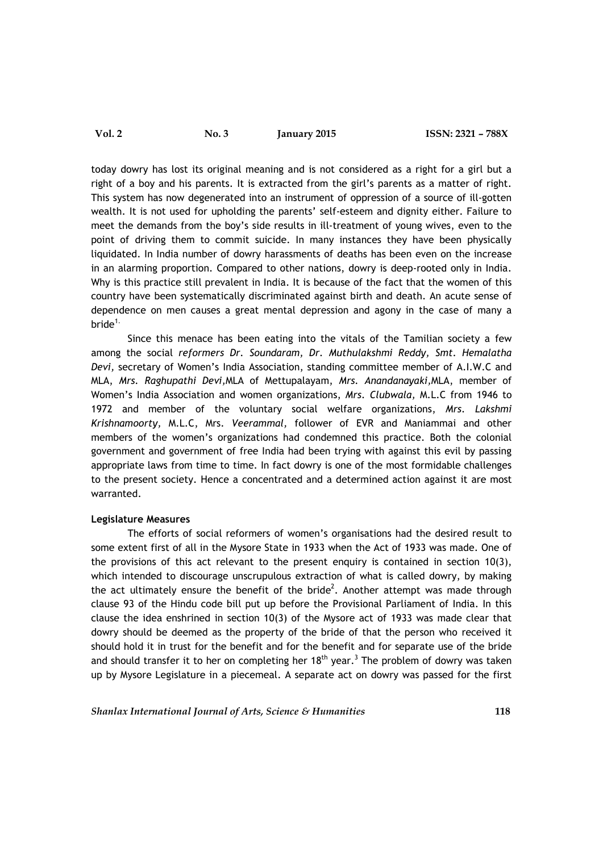today dowry has lost its original meaning and is not considered as a right for a girl but a right of a boy and his parents. It is extracted from the girl's parents as a matter of right. This system has now degenerated into an instrument of oppression of a source of ill-gotten wealth. It is not used for upholding the parents' self-esteem and dignity either. Failure to meet the demands from the boy's side results in ill-treatment of young wives, even to the point of driving them to commit suicide. In many instances they have been physically liquidated. In India number of dowry harassments of deaths has been even on the increase in an alarming proportion. Compared to other nations, dowry is deep-rooted only in India. Why is this practice still prevalent in India. It is because of the fact that the women of this country have been systematically discriminated against birth and death. An acute sense of dependence on men causes a great mental depression and agony in the case of many a bride $1$ .

Since this menace has been eating into the vitals of the Tamilian society a few among the social *reformers Dr. Soundaram, Dr. Muthulakshmi Reddy, Smt. Hemalatha Devi,* secretary of Women's India Association, standing committee member of A.I.W.C and MLA, *Mrs. Raghupathi Devi,*MLA of Mettupalayam, *Mrs. Anandanayaki,*MLA, member of Women's India Association and women organizations, *Mrs. Clubwala,* M.L.C from 1946 to 1972 and member of the voluntary social welfare organizations, *Mrs. Lakshmi Krishnamoorty,* M.L.C, Mrs. *Veerammal,* follower of EVR and Maniammai and other members of the women's organizations had condemned this practice. Both the colonial government and government of free India had been trying with against this evil by passing appropriate laws from time to time. In fact dowry is one of the most formidable challenges to the present society. Hence a concentrated and a determined action against it are most warranted.

### **Legislature Measures**

The efforts of social reformers of women's organisations had the desired result to some extent first of all in the Mysore State in 1933 when the Act of 1933 was made. One of the provisions of this act relevant to the present enquiry is contained in section 10(3), which intended to discourage unscrupulous extraction of what is called dowry, by making the act ultimately ensure the benefit of the bride<sup>2</sup>. Another attempt was made through clause 93 of the Hindu code bill put up before the Provisional Parliament of India. In this clause the idea enshrined in section 10(3) of the Mysore act of 1933 was made clear that dowry should be deemed as the property of the bride of that the person who received it should hold it in trust for the benefit and for the benefit and for separate use of the bride and should transfer it to her on completing her  $18<sup>th</sup>$  year.<sup>3</sup> The problem of dowry was taken up by Mysore Legislature in a piecemeal. A separate act on dowry was passed for the first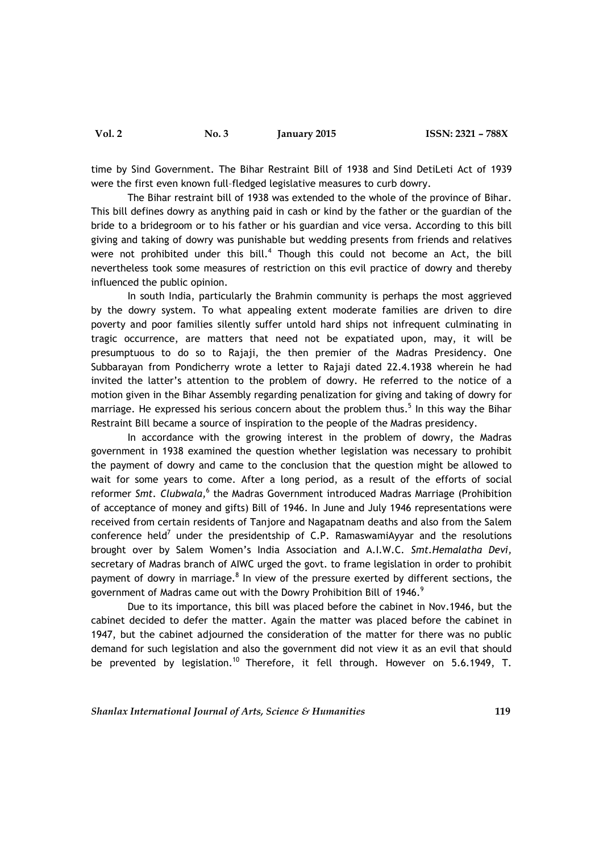time by Sind Government. The Bihar Restraint Bill of 1938 and Sind DetiLeti Act of 1939 were the first even known full–fledged legislative measures to curb dowry.

The Bihar restraint bill of 1938 was extended to the whole of the province of Bihar. This bill defines dowry as anything paid in cash or kind by the father or the guardian of the bride to a bridegroom or to his father or his guardian and vice versa. According to this bill giving and taking of dowry was punishable but wedding presents from friends and relatives were not prohibited under this bill.<sup>4</sup> Though this could not become an Act, the bill nevertheless took some measures of restriction on this evil practice of dowry and thereby influenced the public opinion.

In south India, particularly the Brahmin community is perhaps the most aggrieved by the dowry system. To what appealing extent moderate families are driven to dire poverty and poor families silently suffer untold hard ships not infrequent culminating in tragic occurrence, are matters that need not be expatiated upon, may, it will be presumptuous to do so to Rajaji, the then premier of the Madras Presidency. One Subbarayan from Pondicherry wrote a letter to Rajaji dated 22.4.1938 wherein he had invited the latter's attention to the problem of dowry. He referred to the notice of a motion given in the Bihar Assembly regarding penalization for giving and taking of dowry for marriage. He expressed his serious concern about the problem thus.<sup>5</sup> In this way the Bihar Restraint Bill became a source of inspiration to the people of the Madras presidency.

In accordance with the growing interest in the problem of dowry, the Madras government in 1938 examined the question whether legislation was necessary to prohibit the payment of dowry and came to the conclusion that the question might be allowed to wait for some years to come. After a long period, as a result of the efforts of social reformer *Smt. Clubwala,*<sup>6</sup> the Madras Government introduced Madras Marriage (Prohibition of acceptance of money and gifts) Bill of 1946. In June and July 1946 representations were received from certain residents of Tanjore and Nagapatnam deaths and also from the Salem conference held<sup>7</sup> under the presidentship of C.P. RamaswamiAyyar and the resolutions brought over by Salem Women's India Association and A.I.W.C. *Smt.Hemalatha Devi,* secretary of Madras branch of AIWC urged the govt. to frame legislation in order to prohibit payment of dowry in marriage. $8$  In view of the pressure exerted by different sections, the government of Madras came out with the Dowry Prohibition Bill of 1946.<sup>9</sup>

Due to its importance, this bill was placed before the cabinet in Nov.1946, but the cabinet decided to defer the matter. Again the matter was placed before the cabinet in 1947, but the cabinet adjourned the consideration of the matter for there was no public demand for such legislation and also the government did not view it as an evil that should be prevented by legislation.<sup>10</sup> Therefore, it fell through. However on 5.6.1949, T.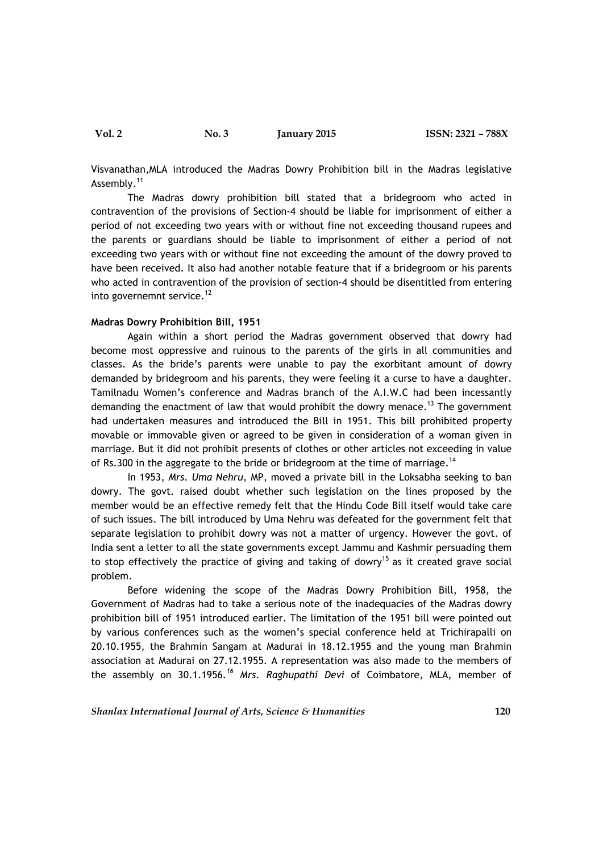**Vol. 2 No. 3 January 2015 ISSN: 2321 – 788X**

Visvanathan,MLA introduced the Madras Dowry Prohibition bill in the Madras legislative Assembly.<sup>11</sup>

The Madras dowry prohibition bill stated that a bridegroom who acted in contravention of the provisions of Section-4 should be liable for imprisonment of either a period of not exceeding two years with or without fine not exceeding thousand rupees and the parents or guardians should be liable to imprisonment of either a period of not exceeding two years with or without fine not exceeding the amount of the dowry proved to have been received. It also had another notable feature that if a bridegroom or his parents who acted in contravention of the provision of section-4 should be disentitled from entering into governemnt service.<sup>12</sup>

# **Madras Dowry Prohibition Bill, 1951**

Again within a short period the Madras government observed that dowry had become most oppressive and ruinous to the parents of the girls in all communities and classes. As the bride's parents were unable to pay the exorbitant amount of dowry demanded by bridegroom and his parents, they were feeling it a curse to have a daughter. Tamilnadu Women's conference and Madras branch of the A.I.W.C had been incessantly demanding the enactment of law that would prohibit the dowry menace.<sup>13</sup> The government had undertaken measures and introduced the Bill in 1951. This bill prohibited property movable or immovable given or agreed to be given in consideration of a woman given in marriage. But it did not prohibit presents of clothes or other articles not exceeding in value of Rs.300 in the aggregate to the bride or bridegroom at the time of marriage.<sup>14</sup>

In 1953, *Mrs. Uma Nehru,* MP, moved a private bill in the Loksabha seeking to ban dowry. The govt. raised doubt whether such legislation on the lines proposed by the member would be an effective remedy felt that the Hindu Code Bill itself would take care of such issues. The bill introduced by Uma Nehru was defeated for the government felt that separate legislation to prohibit dowry was not a matter of urgency. However the govt. of India sent a letter to all the state governments except Jammu and Kashmir persuading them to stop effectively the practice of giving and taking of dowry<sup>15</sup> as it created grave social problem.

Before widening the scope of the Madras Dowry Prohibition Bill, 1958, the Government of Madras had to take a serious note of the inadequacies of the Madras dowry prohibition bill of 1951 introduced earlier. The limitation of the 1951 bill were pointed out by various conferences such as the women's special conference held at Trichirapalli on 20.10.1955, the Brahmin Sangam at Madurai in 18.12.1955 and the young man Brahmin association at Madurai on 27.12.1955. A representation was also made to the members of the assembly on 30.1.1956*. <sup>16</sup> Mrs. Raghupathi Devi* of Coimbatore, MLA, member of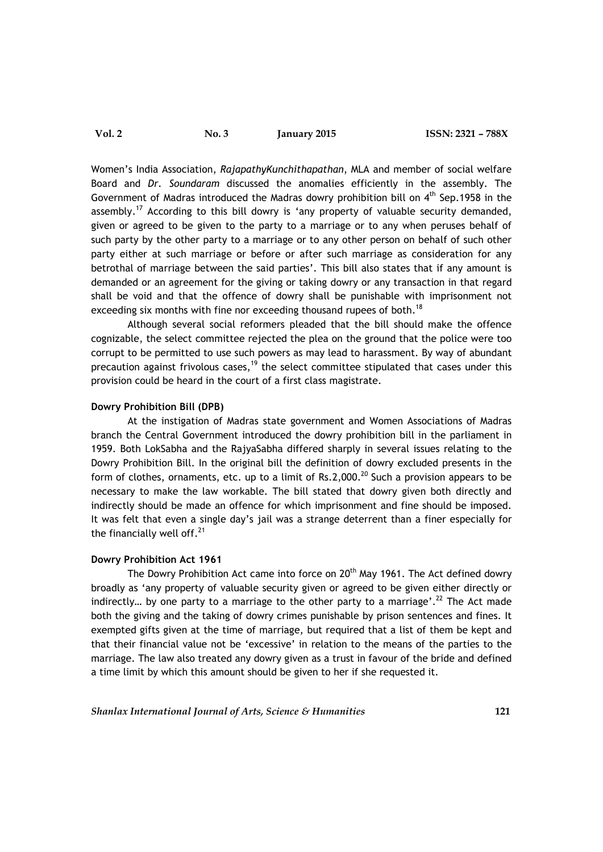**Vol. 2 No. 3 January 2015 ISSN: 2321 – 788X**

Women's India Association, *RajapathyKunchithapathan*, MLA and member of social welfare Board and *Dr. Soundaram* discussed the anomalies efficiently in the assembly. The Government of Madras introduced the Madras dowry prohibition bill on 4<sup>th</sup> Sep.1958 in the assembly.<sup>17</sup> According to this bill dowry is 'any property of valuable security demanded, given or agreed to be given to the party to a marriage or to any when peruses behalf of such party by the other party to a marriage or to any other person on behalf of such other party either at such marriage or before or after such marriage as consideration for any betrothal of marriage between the said parties'. This bill also states that if any amount is demanded or an agreement for the giving or taking dowry or any transaction in that regard shall be void and that the offence of dowry shall be punishable with imprisonment not exceeding six months with fine nor exceeding thousand rupees of both.<sup>18</sup>

Although several social reformers pleaded that the bill should make the offence cognizable, the select committee rejected the plea on the ground that the police were too corrupt to be permitted to use such powers as may lead to harassment. By way of abundant precaution against frivolous cases, $19$  the select committee stipulated that cases under this provision could be heard in the court of a first class magistrate.

# **Dowry Prohibition Bill (DPB)**

At the instigation of Madras state government and Women Associations of Madras branch the Central Government introduced the dowry prohibition bill in the parliament in 1959. Both LokSabha and the RajyaSabha differed sharply in several issues relating to the Dowry Prohibition Bill. In the original bill the definition of dowry excluded presents in the form of clothes, ornaments, etc. up to a limit of Rs.2,000.<sup>20</sup> Such a provision appears to be necessary to make the law workable. The bill stated that dowry given both directly and indirectly should be made an offence for which imprisonment and fine should be imposed. It was felt that even a single day's jail was a strange deterrent than a finer especially for the financially well off. $21$ 

# **Dowry Prohibition Act 1961**

The Dowry Prohibition Act came into force on  $20<sup>th</sup>$  May 1961. The Act defined dowry broadly as 'any property of valuable security given or agreed to be given either directly or indirectly... by one party to a marriage to the other party to a marriage'.<sup>22</sup> The Act made both the giving and the taking of dowry crimes punishable by prison sentences and fines. It exempted gifts given at the time of marriage, but required that a list of them be kept and that their financial value not be 'excessive' in relation to the means of the parties to the marriage. The law also treated any dowry given as a trust in favour of the bride and defined a time limit by which this amount should be given to her if she requested it.